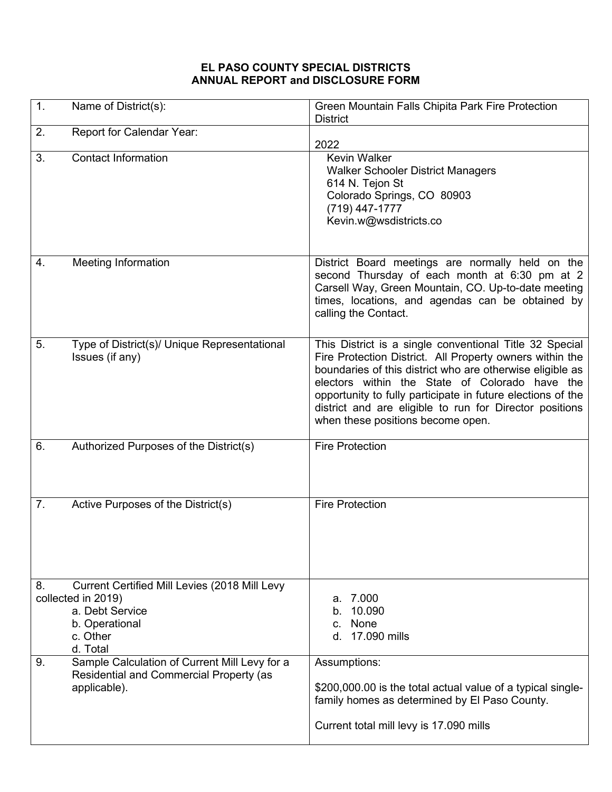## **EL PASO COUNTY SPECIAL DISTRICTS ANNUAL REPORT and DISCLOSURE FORM**

| 1. | Name of District(s):                                                                                                             | Green Mountain Falls Chipita Park Fire Protection<br><b>District</b>                                                                                                                                                                                                                                                                                                                              |
|----|----------------------------------------------------------------------------------------------------------------------------------|---------------------------------------------------------------------------------------------------------------------------------------------------------------------------------------------------------------------------------------------------------------------------------------------------------------------------------------------------------------------------------------------------|
| 2. | Report for Calendar Year:                                                                                                        | 2022                                                                                                                                                                                                                                                                                                                                                                                              |
| 3. | <b>Contact Information</b>                                                                                                       | Kevin Walker<br><b>Walker Schooler District Managers</b><br>614 N. Tejon St<br>Colorado Springs, CO 80903<br>(719) 447-1777<br>Kevin.w@wsdistricts.co                                                                                                                                                                                                                                             |
| 4. | Meeting Information                                                                                                              | District Board meetings are normally held on the<br>second Thursday of each month at 6:30 pm at 2<br>Carsell Way, Green Mountain, CO. Up-to-date meeting<br>times, locations, and agendas can be obtained by<br>calling the Contact.                                                                                                                                                              |
| 5. | Type of District(s)/ Unique Representational<br>Issues (if any)                                                                  | This District is a single conventional Title 32 Special<br>Fire Protection District. All Property owners within the<br>boundaries of this district who are otherwise eligible as<br>electors within the State of Colorado have the<br>opportunity to fully participate in future elections of the<br>district and are eligible to run for Director positions<br>when these positions become open. |
| 6. | Authorized Purposes of the District(s)                                                                                           | <b>Fire Protection</b>                                                                                                                                                                                                                                                                                                                                                                            |
| 7. | Active Purposes of the District(s)                                                                                               | <b>Fire Protection</b>                                                                                                                                                                                                                                                                                                                                                                            |
| 8. | Current Certified Mill Levies (2018 Mill Levy<br>collected in 2019)<br>a. Debt Service<br>b. Operational<br>c. Other<br>d. Total | 7.000<br>a.<br>10.090<br>b.<br>c. None<br>d. 17.090 mills                                                                                                                                                                                                                                                                                                                                         |
| 9. | Sample Calculation of Current Mill Levy for a<br>Residential and Commercial Property (as<br>applicable).                         | Assumptions:<br>\$200,000.00 is the total actual value of a typical single-<br>family homes as determined by El Paso County.<br>Current total mill levy is 17.090 mills                                                                                                                                                                                                                           |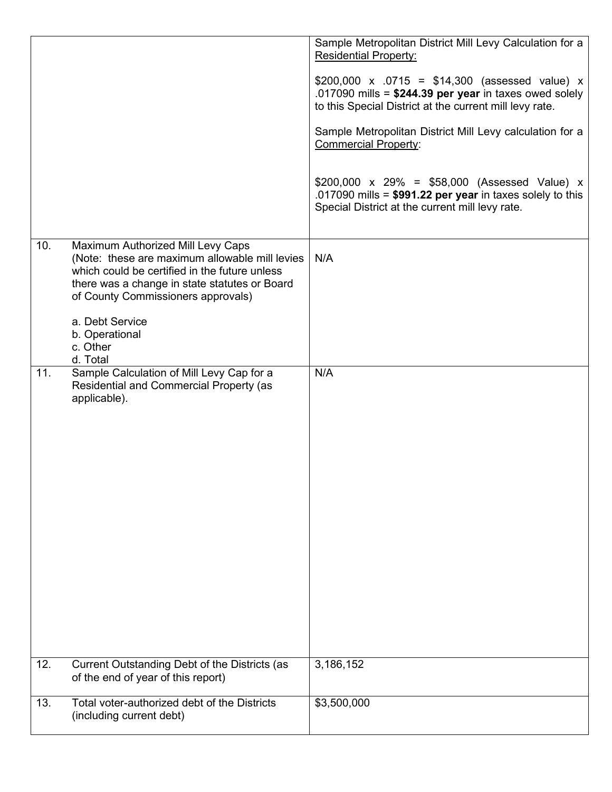|     |                                                                                                                                                                                                                                                                                          | Sample Metropolitan District Mill Levy Calculation for a<br><b>Residential Property:</b><br>\$200,000 x .0715 = \$14,300 (assessed value) x<br>.017090 mills = $$244.39$ per year in taxes owed solely<br>to this Special District at the current mill levy rate.<br>Sample Metropolitan District Mill Levy calculation for a<br><b>Commercial Property:</b><br>$$200,000 \times 29\% = $58,000$ (Assessed Value) x<br>.017090 mills = $$991.22$ per year in taxes solely to this<br>Special District at the current mill levy rate. |
|-----|------------------------------------------------------------------------------------------------------------------------------------------------------------------------------------------------------------------------------------------------------------------------------------------|--------------------------------------------------------------------------------------------------------------------------------------------------------------------------------------------------------------------------------------------------------------------------------------------------------------------------------------------------------------------------------------------------------------------------------------------------------------------------------------------------------------------------------------|
| 10. | Maximum Authorized Mill Levy Caps<br>(Note: these are maximum allowable mill levies<br>which could be certified in the future unless<br>there was a change in state statutes or Board<br>of County Commissioners approvals)<br>a. Debt Service<br>b. Operational<br>c. Other<br>d. Total | N/A                                                                                                                                                                                                                                                                                                                                                                                                                                                                                                                                  |
| 11. | Sample Calculation of Mill Levy Cap for a<br>Residential and Commercial Property (as<br>applicable).                                                                                                                                                                                     | N/A                                                                                                                                                                                                                                                                                                                                                                                                                                                                                                                                  |
| 12. | Current Outstanding Debt of the Districts (as<br>of the end of year of this report)                                                                                                                                                                                                      | 3,186,152                                                                                                                                                                                                                                                                                                                                                                                                                                                                                                                            |
| 13. | Total voter-authorized debt of the Districts<br>(including current debt)                                                                                                                                                                                                                 | \$3,500,000                                                                                                                                                                                                                                                                                                                                                                                                                                                                                                                          |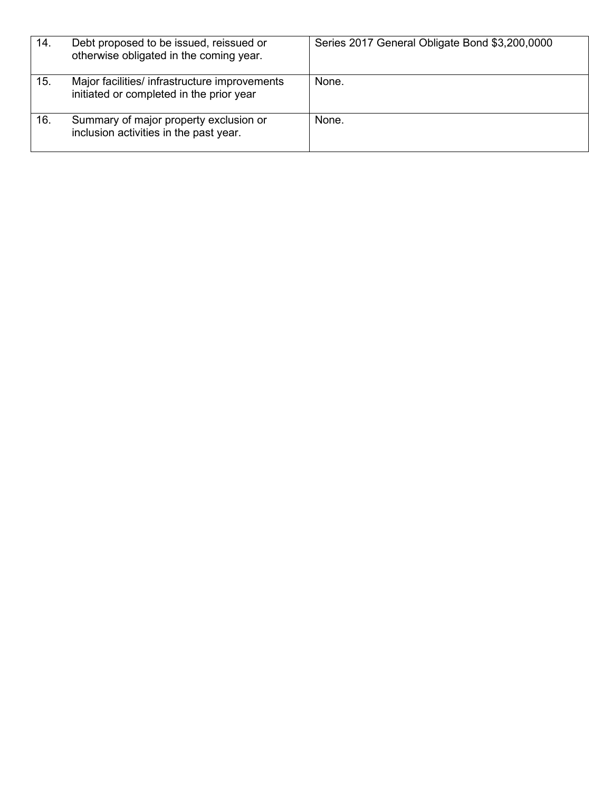| 14. | Debt proposed to be issued, reissued or<br>otherwise obligated in the coming year.        | Series 2017 General Obligate Bond \$3,200,0000 |
|-----|-------------------------------------------------------------------------------------------|------------------------------------------------|
| 15. | Major facilities/ infrastructure improvements<br>initiated or completed in the prior year | None.                                          |
| 16. | Summary of major property exclusion or<br>inclusion activities in the past year.          | None.                                          |